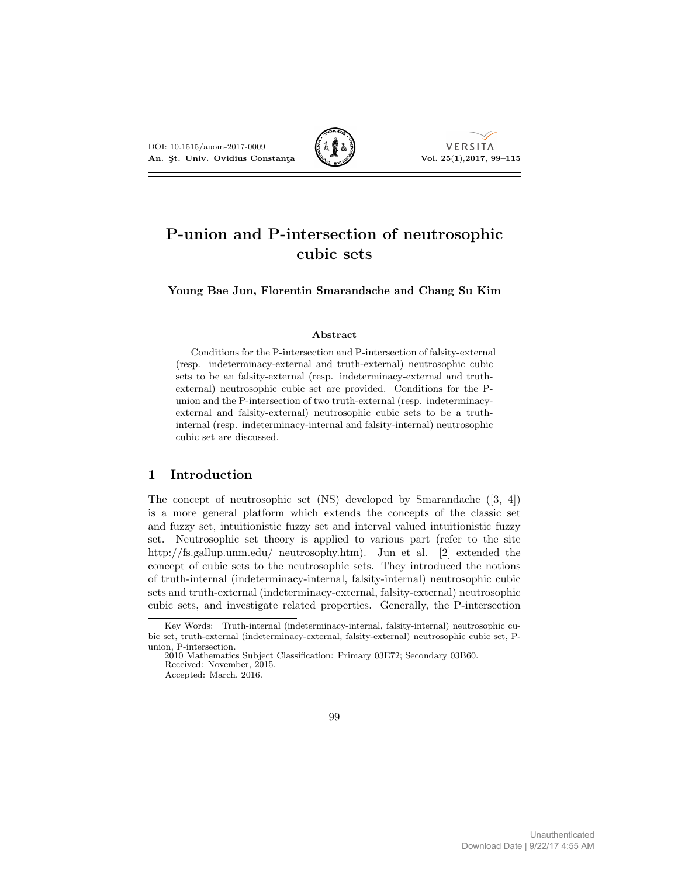

# P-union and P-intersection of neutrosophic cubic sets

Young Bae Jun, Florentin Smarandache and Chang Su Kim

#### Abstract

Conditions for the P-intersection and P-intersection of falsity-external (resp. indeterminacy-external and truth-external) neutrosophic cubic sets to be an falsity-external (resp. indeterminacy-external and truthexternal) neutrosophic cubic set are provided. Conditions for the Punion and the P-intersection of two truth-external (resp. indeterminacyexternal and falsity-external) neutrosophic cubic sets to be a truthinternal (resp. indeterminacy-internal and falsity-internal) neutrosophic cubic set are discussed.

# 1 Introduction

The concept of neutrosophic set (NS) developed by Smarandache ([3, 4]) is a more general platform which extends the concepts of the classic set and fuzzy set, intuitionistic fuzzy set and interval valued intuitionistic fuzzy set. Neutrosophic set theory is applied to various part (refer to the site http://fs.gallup.unm.edu/ neutrosophy.htm). Jun et al. [2] extended the concept of cubic sets to the neutrosophic sets. They introduced the notions of truth-internal (indeterminacy-internal, falsity-internal) neutrosophic cubic sets and truth-external (indeterminacy-external, falsity-external) neutrosophic cubic sets, and investigate related properties. Generally, the P-intersection

Key Words: Truth-internal (indeterminacy-internal, falsity-internal) neutrosophic cubic set, truth-external (indeterminacy-external, falsity-external) neutrosophic cubic set, Punion, P-intersection.

<sup>2010</sup> Mathematics Subject Classification: Primary 03E72; Secondary 03B60. Received: November, 2015.

Accepted: March, 2016.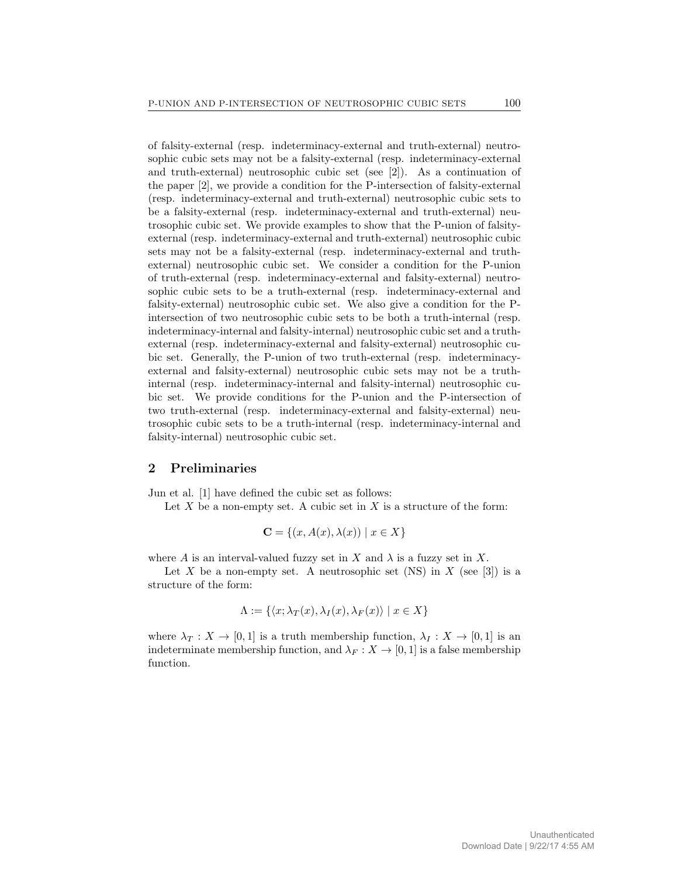of falsity-external (resp. indeterminacy-external and truth-external) neutrosophic cubic sets may not be a falsity-external (resp. indeterminacy-external and truth-external) neutrosophic cubic set (see [2]). As a continuation of the paper [2], we provide a condition for the P-intersection of falsity-external (resp. indeterminacy-external and truth-external) neutrosophic cubic sets to be a falsity-external (resp. indeterminacy-external and truth-external) neutrosophic cubic set. We provide examples to show that the P-union of falsityexternal (resp. indeterminacy-external and truth-external) neutrosophic cubic sets may not be a falsity-external (resp. indeterminacy-external and truthexternal) neutrosophic cubic set. We consider a condition for the P-union of truth-external (resp. indeterminacy-external and falsity-external) neutrosophic cubic sets to be a truth-external (resp. indeterminacy-external and falsity-external) neutrosophic cubic set. We also give a condition for the Pintersection of two neutrosophic cubic sets to be both a truth-internal (resp. indeterminacy-internal and falsity-internal) neutrosophic cubic set and a truthexternal (resp. indeterminacy-external and falsity-external) neutrosophic cubic set. Generally, the P-union of two truth-external (resp. indeterminacyexternal and falsity-external) neutrosophic cubic sets may not be a truthinternal (resp. indeterminacy-internal and falsity-internal) neutrosophic cubic set. We provide conditions for the P-union and the P-intersection of two truth-external (resp. indeterminacy-external and falsity-external) neutrosophic cubic sets to be a truth-internal (resp. indeterminacy-internal and falsity-internal) neutrosophic cubic set.

### 2 Preliminaries

Jun et al. [1] have defined the cubic set as follows:

Let  $X$  be a non-empty set. A cubic set in  $X$  is a structure of the form:

$$
\mathbf{C} = \{(x, A(x), \lambda(x)) \mid x \in X\}
$$

where A is an interval-valued fuzzy set in X and  $\lambda$  is a fuzzy set in X.

Let X be a non-empty set. A neutrosophic set (NS) in X (see [3]) is a structure of the form:

$$
\Lambda := \{ \langle x; \lambda_T(x), \lambda_I(x), \lambda_F(x) \rangle \mid x \in X \}
$$

where  $\lambda_T : X \to [0,1]$  is a truth membership function,  $\lambda_I : X \to [0,1]$  is an indeterminate membership function, and  $\lambda_F : X \to [0,1]$  is a false membership function.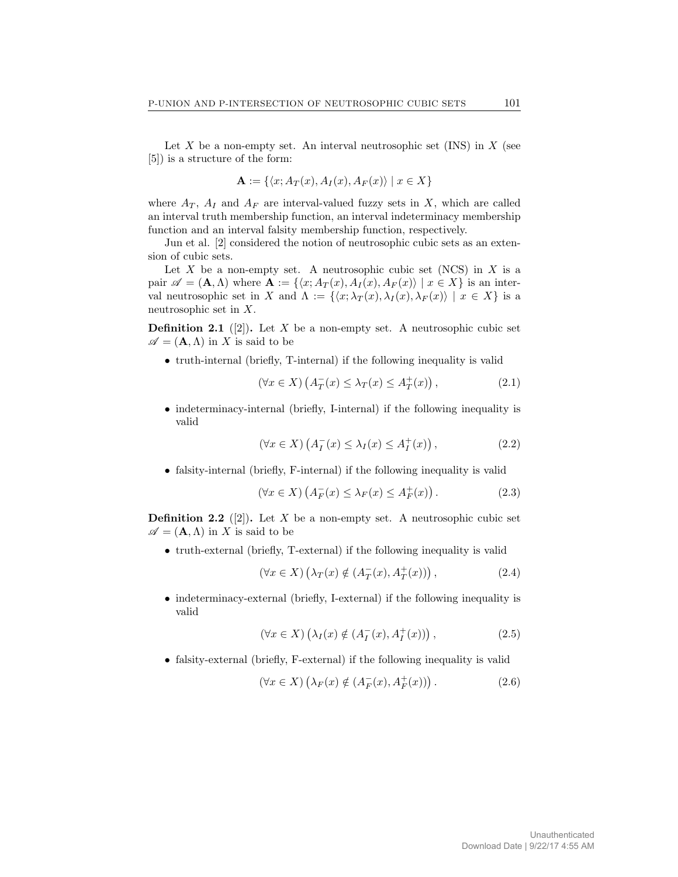Let X be a non-empty set. An interval neutrosophic set  $(INS)$  in X (see [5]) is a structure of the form:

$$
\mathbf{A} := \{ \langle x; A_T(x), A_I(x), A_F(x) \rangle \mid x \in X \}
$$

where  $A_T$ ,  $A_I$  and  $A_F$  are interval-valued fuzzy sets in X, which are called an interval truth membership function, an interval indeterminacy membership function and an interval falsity membership function, respectively.

Jun et al. [2] considered the notion of neutrosophic cubic sets as an extension of cubic sets.

Let X be a non-empty set. A neutrosophic cubic set (NCS) in X is a pair  $\mathscr{A} = (\mathbf{A}, \Lambda)$  where  $\mathbf{A} := \{ \langle x; A_T (x), A_I (x), A_F (x) \rangle \mid x \in X \}$  is an interval neutrosophic set in X and  $\Lambda := \{\langle x; \lambda_T (x), \lambda_I (x), \lambda_F (x) \rangle \mid x \in X\}$  is a neutrosophic set in X.

**Definition 2.1** ([2]). Let X be a non-empty set. A neutrosophic cubic set  $\mathscr{A} = (\mathbf{A}, \Lambda)$  in X is said to be

• truth-internal (briefly, T-internal) if the following inequality is valid

$$
(\forall x \in X) \left( A_T^-(x) \le \lambda_T(x) \le A_T^+(x) \right), \tag{2.1}
$$

• indeterminacy-internal (briefly, I-internal) if the following inequality is valid

$$
(\forall x \in X) \left( A_I^-(x) \le \lambda_I(x) \le A_I^+(x) \right), \tag{2.2}
$$

• falsity-internal (briefly, F-internal) if the following inequality is valid

$$
(\forall x \in X) \left( A_F^-(x) \le \lambda_F(x) \le A_F^+(x) \right). \tag{2.3}
$$

**Definition 2.2** ([2]). Let X be a non-empty set. A neutrosophic cubic set  $\mathscr{A} = (\mathbf{A}, \Lambda)$  in X is said to be

• truth-external (briefly, T-external) if the following inequality is valid

$$
(\forall x \in X) \left(\lambda_T(x) \notin (A_T^-(x), A_T^+(x))\right),\tag{2.4}
$$

• indeterminacy-external (briefly, I-external) if the following inequality is valid

$$
(\forall x \in X) \left(\lambda_I(x) \notin (A_I^-(x), A_I^+(x))\right),\tag{2.5}
$$

• falsity-external (briefly, F-external) if the following inequality is valid

$$
(\forall x \in X) \left(\lambda_F(x) \notin (A_F^-(x), A_F^+(x))\right). \tag{2.6}
$$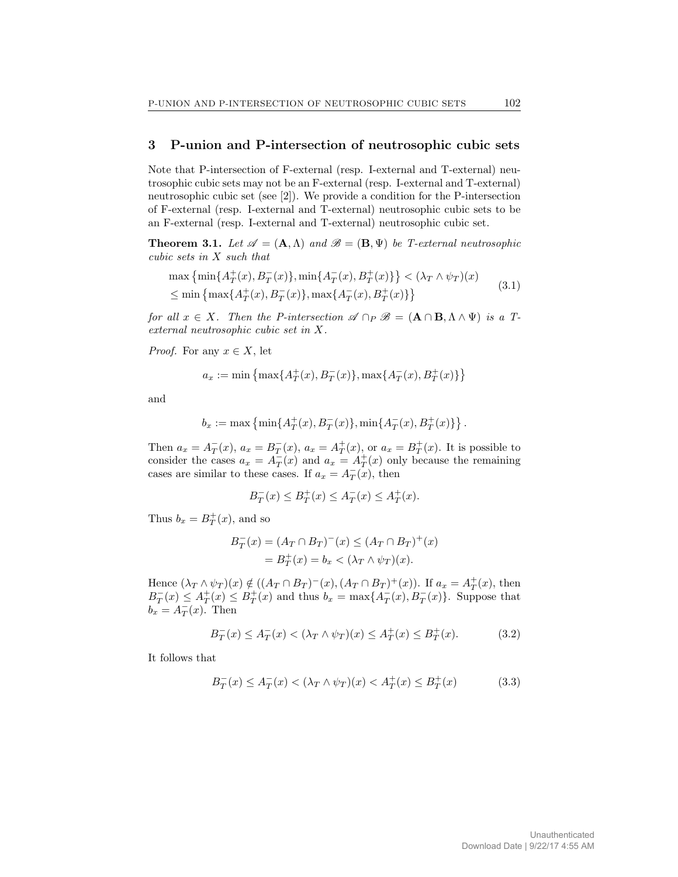#### 3 P-union and P-intersection of neutrosophic cubic sets

Note that P-intersection of F-external (resp. I-external and T-external) neutrosophic cubic sets may not be an F-external (resp. I-external and T-external) neutrosophic cubic set (see [2]). We provide a condition for the P-intersection of F-external (resp. I-external and T-external) neutrosophic cubic sets to be an F-external (resp. I-external and T-external) neutrosophic cubic set.

**Theorem 3.1.** Let  $\mathscr{A} = (\mathbf{A}, \Lambda)$  and  $\mathscr{B} = (\mathbf{B}, \Psi)$  be T-external neutrosophic cubic sets in X such that

$$
\max \left\{ \min \{ A_T^+(x), B_T^-(x) \}, \min \{ A_T^-(x), B_T^+(x) \} \right\} < (\lambda_T \wedge \psi_T)(x)
$$
  
 
$$
\leq \min \left\{ \max \{ A_T^+(x), B_T^-(x) \}, \max \{ A_T^-(x), B_T^+(x) \} \right\}
$$
 (3.1)

for all  $x \in X$ . Then the P-intersection  $\mathscr{A} \cap_P \mathscr{B} = (\mathbf{A} \cap \mathbf{B}, \Lambda \wedge \Psi)$  is a Texternal neutrosophic cubic set in X.

*Proof.* For any  $x \in X$ , let

$$
a_x:=\min\left\{\max\{A_T^+(x),B_T^-(x)\},\max\{A_T^-(x),B_T^+(x)\}\right\}
$$

and

$$
b_x := \max \left\{ \min\{A_T^+(x), B_T^-(x)\}, \min\{A_T^-(x), B_T^+(x)\} \right\}.
$$

Then  $a_x = A_T^-(x)$ ,  $a_x = B_T^-(x)$ ,  $a_x = A_T^+(x)$ , or  $a_x = B_T^+(x)$ . It is possible to consider the cases  $a_x = A_T^-(x)$  and  $a_x = A_T^+(x)$  only because the remaining cases are similar to these cases. If  $a_x = A_T^-(x)$ , then

$$
B_T^-(x) \le B_T^+(x) \le A_T^-(x) \le A_T^+(x).
$$

Thus  $b_x = B_T^+(x)$ , and so

$$
B_T^-(x) = (A_T \cap B_T)^{-}(x) \le (A_T \cap B_T)^{+}(x)
$$
  
=  $B_T^{+}(x) = b_x < (\lambda_T \wedge \psi_T)(x)$ .

Hence  $(\lambda_T \wedge \psi_T)(x) \notin ((A_T \cap B_T)^{-(x)}, (A_T \cap B_T)^{+(x)})$ . If  $a_x = A_T^{+(x)}$ , then  $B_T^-(x) \le A_T^+(x) \le B_T^+(x)$  and thus  $b_x = \max\{A_T^-(x), B_T^-(x)\}$ . Suppose that  $b_x = A_T^-(x)$ . Then

$$
B_T^-(x) \le A_T^-(x) < (\lambda_T \wedge \psi_T)(x) \le A_T^+(x) \le B_T^+(x). \tag{3.2}
$$

It follows that

$$
B_T^-(x) \le A_T^-(x) < (\lambda_T \wedge \psi_T)(x) < A_T^+(x) \le B_T^+(x) \tag{3.3}
$$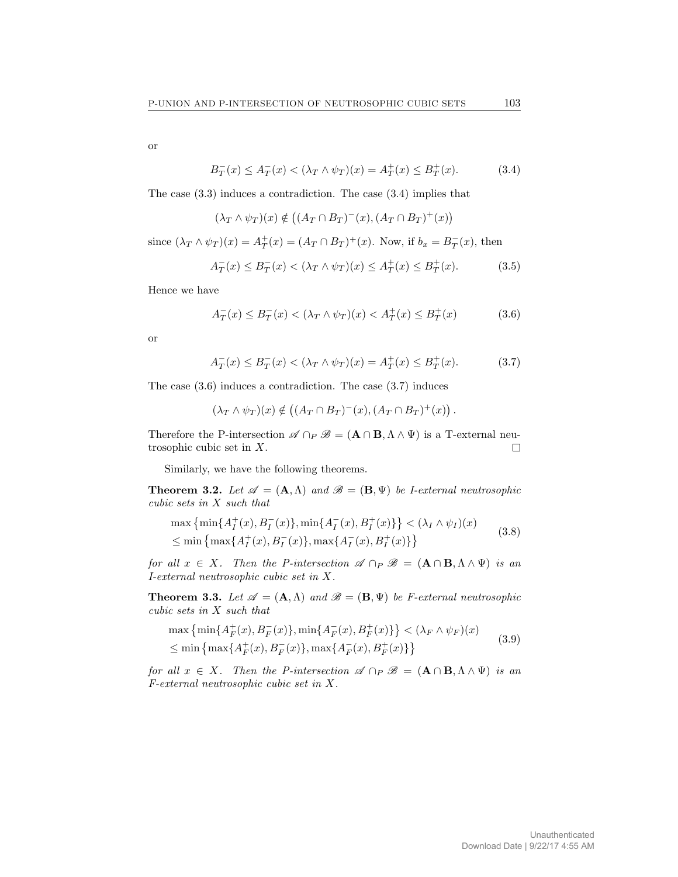or

$$
B_T^-(x) \le A_T^-(x) < (\lambda_T \wedge \psi_T)(x) = A_T^+(x) \le B_T^+(x). \tag{3.4}
$$

The case (3.3) induces a contradiction. The case (3.4) implies that

$$
(\lambda_T \wedge \psi_T)(x) \notin ((A_T \cap B_T)^{-}(x), (A_T \cap B_T)^{+}(x))
$$

since  $(\lambda_T \wedge \psi_T)(x) = A_T^+(x) = (A_T \cap B_T)^+(x)$ . Now, if  $b_x = B_T^-(x)$ , then

$$
A_T^-(x) \le B_T^-(x) < (\lambda_T \wedge \psi_T)(x) \le A_T^+(x) \le B_T^+(x). \tag{3.5}
$$

Hence we have

$$
A_T^-(x) \le B_T^-(x) < (\lambda_T \wedge \psi_T)(x) < A_T^+(x) \le B_T^+(x) \tag{3.6}
$$

or

$$
A_T^-(x) \le B_T^-(x) < (\lambda_T \wedge \psi_T)(x) = A_T^+(x) \le B_T^+(x). \tag{3.7}
$$

The case (3.6) induces a contradiction. The case (3.7) induces

$$
(\lambda_T \wedge \psi_T)(x) \notin ((A_T \cap B_T)^{-}(x), (A_T \cap B_T)^{+}(x)).
$$

Therefore the P-intersection  $\mathscr{A} \cap_P \mathscr{B} = (\mathbf{A} \cap \mathbf{B}, \Lambda \wedge \Psi)$  is a T-external neutrosophic cubic set in X.  $\Box$ 

Similarly, we have the following theorems.

**Theorem 3.2.** Let  $\mathscr{A} = (\mathbf{A}, \Lambda)$  and  $\mathscr{B} = (\mathbf{B}, \Psi)$  be *I-external neutrosophic* cubic sets in X such that

$$
\max \left\{ \min \{ A_I^+(x), B_I^-(x) \}, \min \{ A_I^-(x), B_I^+(x) \} \right\} < (\lambda_I \wedge \psi_I)(x)
$$
  
 
$$
\leq \min \left\{ \max \{ A_I^+(x), B_I^-(x) \}, \max \{ A_I^-(x), B_I^+(x) \} \right\}
$$
 (3.8)

for all  $x \in X$ . Then the P-intersection  $\mathscr{A} \cap_P \mathscr{B} = (\mathbf{A} \cap \mathbf{B}, \Lambda \wedge \Psi)$  is an I-external neutrosophic cubic set in X.

**Theorem 3.3.** Let  $\mathscr{A} = (A, \Lambda)$  and  $\mathscr{B} = (B, \Psi)$  be *F*-external neutrosophic cubic sets in X such that

$$
\max\left\{\min\{A_F^+(x), B_F^-(x)\}, \min\{A_F^-(x), B_F^+(x)\}\right\} < (\lambda_F \wedge \psi_F)(x)
$$
  
\$\leq\$ 
$$
\min\left\{\max\{A_F^+(x), B_F^-(x)\}, \max\{A_F^-(x), B_F^+(x)\}\right\}
$$
 (3.9)

for all  $x \in X$ . Then the P-intersection  $\mathscr{A} \cap_P \mathscr{B} = (\mathbf{A} \cap \mathbf{B}, \Lambda \wedge \Psi)$  is an F-external neutrosophic cubic set in X.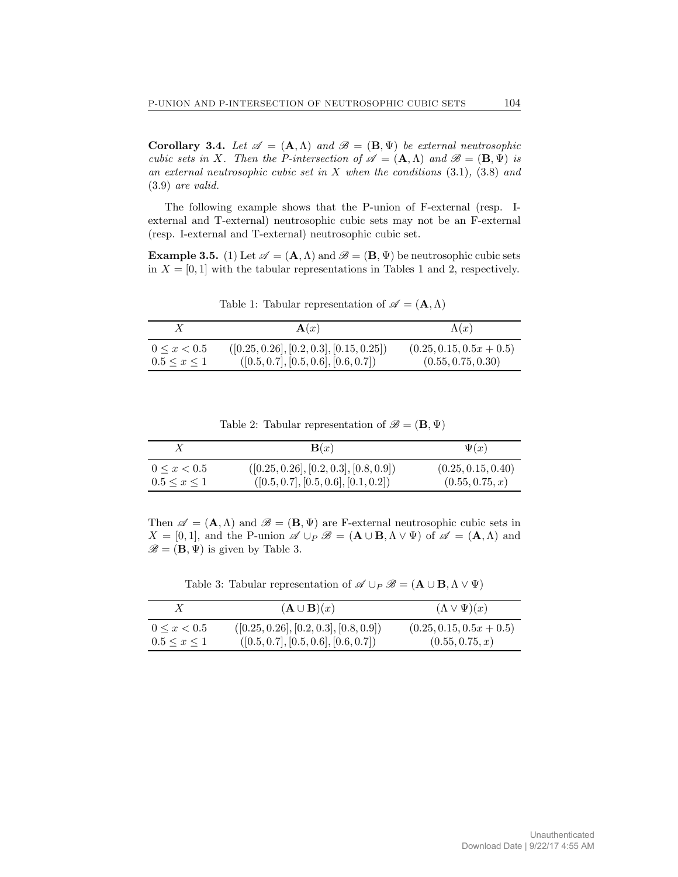Corollary 3.4. Let  $\mathscr{A} = (A, \Lambda)$  and  $\mathscr{B} = (B, \Psi)$  be external neutrosophic cubic sets in X. Then the P-intersection of  $\mathscr{A} = (\mathbf{A}, \Lambda)$  and  $\mathscr{B} = (\mathbf{B}, \Psi)$  is an external neutrosophic cubic set in  $X$  when the conditions  $(3.1), (3.8)$  and (3.9) are valid.

The following example shows that the P-union of F-external (resp. Iexternal and T-external) neutrosophic cubic sets may not be an F-external (resp. I-external and T-external) neutrosophic cubic set.

**Example 3.5.** (1) Let  $\mathcal{A} = (\mathbf{A}, \Lambda)$  and  $\mathcal{B} = (\mathbf{B}, \Psi)$  be neutrosophic cubic sets in  $X = [0, 1]$  with the tabular representations in Tables 1 and 2, respectively.

|                     | $\mathbf{A}(x)$                            | $\Lambda(x)$               |
|---------------------|--------------------------------------------|----------------------------|
| $0 \leq x < 0.5$    | $([0.25, 0.26], [0.2, 0.3], [0.15, 0.25])$ | $(0.25, 0.15, 0.5x + 0.5)$ |
| $0.5 \leq x \leq 1$ | ([0.5, 0.7], [0.5, 0.6], [0.6, 0.7])       | (0.55, 0.75, 0.30)         |

Table 1: Tabular representation of  $\mathscr{A} = (\mathbf{A}, \Lambda)$ 

Table 2: Tabular representation of  $\mathscr{B} = (\mathbf{B}, \Psi)$ 

|                     | $\mathbf{B}(x)$                          | $\Psi(x)$          |
|---------------------|------------------------------------------|--------------------|
| $0 \leq x \leq 0.5$ | $([0.25, 0.26], [0.2, 0.3], [0.8, 0.9])$ | (0.25, 0.15, 0.40) |
| $0.5 \leq x \leq 1$ | ([0.5, 0.7], [0.5, 0.6], [0.1, 0.2])     | (0.55, 0.75, x)    |

Then  $\mathscr{A} = (\mathbf{A}, \Lambda)$  and  $\mathscr{B} = (\mathbf{B}, \Psi)$  are F-external neutrosophic cubic sets in  $X = [0, 1]$ , and the P-union  $\mathscr{A} \cup_P \mathscr{B} = (A \cup B, \Lambda \vee \Psi)$  of  $\mathscr{A} = (A, \Lambda)$  and  $\mathscr{B} = (\mathbf{B}, \Psi)$  is given by Table 3.

Table 3: Tabular representation of  $\mathscr{A} \cup_P \mathscr{B} = (\mathbf{A} \cup \mathbf{B}, \Lambda \vee \Psi)$ 

|                     | $(\mathbf{A} \cup \mathbf{B})(x)$        | $(\Lambda \vee \Psi)(x)$   |
|---------------------|------------------------------------------|----------------------------|
| $0 \leq x < 0.5$    | $([0.25, 0.26], [0.2, 0.3], [0.8, 0.9])$ | $(0.25, 0.15, 0.5x + 0.5)$ |
| $0.5 \leq x \leq 1$ | ([0.5, 0.7], [0.5, 0.6], [0.6, 0.7])     | (0.55, 0.75, x)            |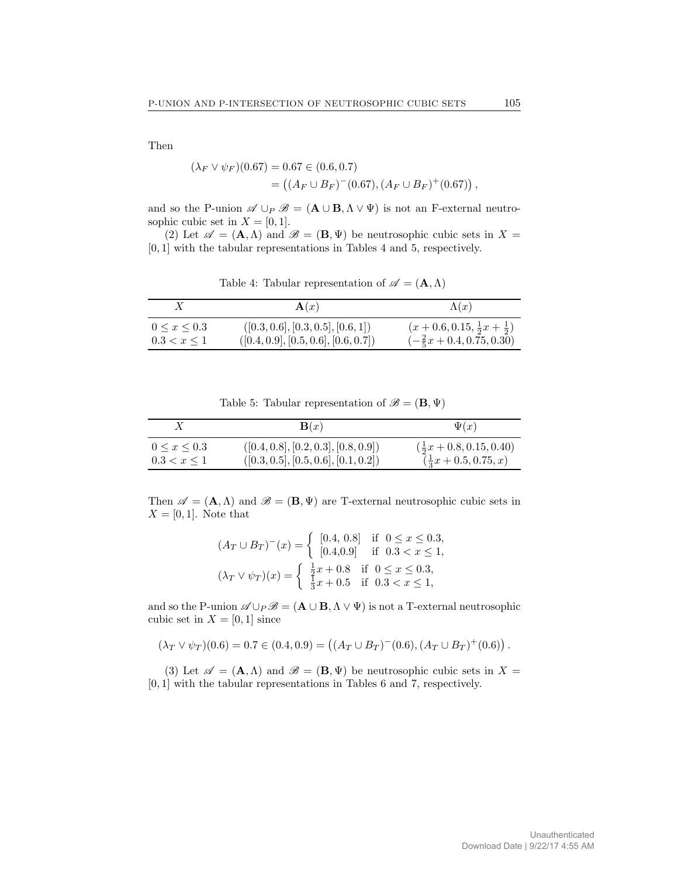Then

$$
(\lambda_F \vee \psi_F)(0.67) = 0.67 \in (0.6, 0.7)
$$
  
= 
$$
((A_F \cup B_F)^{-(0.67)}, (A_F \cup B_F)^{+(0.67)})
$$
,

and so the P-union  $\mathscr{A} \cup_P \mathscr{B} = (\mathbf{A} \cup \mathbf{B}, \Lambda \vee \Psi)$  is not an F-external neutrosophic cubic set in  $X = [0, 1]$ .

(2) Let  $\mathscr{A} = (\mathbf{A}, \Lambda)$  and  $\mathscr{B} = (\mathbf{B}, \Psi)$  be neutrosophic cubic sets in  $X =$ [0, 1] with the tabular representations in Tables 4 and 5, respectively.

Table 4: Tabular representation of  $\mathscr{A} = (\mathbf{A}, \Lambda)$ 

|                     | $\mathbf{A}(x)$                      | $\Lambda(x)$                                   |
|---------------------|--------------------------------------|------------------------------------------------|
| $0 \leq x \leq 0.3$ | ([0.3, 0.6], [0.3, 0.5], [0.6, 1])   | $(x+0.6, 0.15, \frac{1}{2}x + \frac{1}{2})$    |
| $0.3 < x \leq 1$    | ([0.4, 0.9], [0.5, 0.6], [0.6, 0.7]) | $\left(-\frac{2}{5}x + 0.4, 0.75, 0.30\right)$ |

Table 5: Tabular representation of  $\mathscr{B} = (\mathbf{B}, \Psi)$ 

|                     | $\mathbf{B}(x)$                      | $\Psi(x)$                                  |
|---------------------|--------------------------------------|--------------------------------------------|
| $0 \leq x \leq 0.3$ | ([0.4, 0.8], [0.2, 0.3], [0.8, 0.9]) | $(\frac{1}{2}x + 0.8, 0.15, 0.40)$         |
| $0.3 < x \leq 1$    | ([0.3, 0.5], [0.5, 0.6], [0.1, 0.2]) | $\left(\frac{1}{3}x + 0.5, 0.75, x\right)$ |

Then  $\mathscr{A} = (\mathbf{A}, \Lambda)$  and  $\mathscr{B} = (\mathbf{B}, \Psi)$  are T-external neutrosophic cubic sets in  $X = [0, 1]$ . Note that

$$
(A_T \cup B_T)^{-}(x) = \begin{cases} [0.4, 0.8] & \text{if } 0 \le x \le 0.3, \\ [0.4, 0.9] & \text{if } 0.3 < x \le 1, \\ \frac{1}{2}x + 0.8 & \text{if } 0 \le x \le 0.3, \\ \frac{1}{3}x + 0.5 & \text{if } 0.3 < x \le 1, \end{cases}
$$

and so the P-union  $\mathscr{A} \cup_P \mathscr{B} = (\mathbf{A} \cup \mathbf{B}, \Lambda \vee \Psi)$  is not a T-external neutrosophic cubic set in  $X = [0, 1]$  since

$$
(\lambda_T \vee \psi_T)(0.6) = 0.7 \in (0.4, 0.9) = ((A_T \cup B_T)^{-}(0.6), (A_T \cup B_T)^{+}(0.6)).
$$

(3) Let  $\mathscr{A} = (\mathbf{A}, \Lambda)$  and  $\mathscr{B} = (\mathbf{B}, \Psi)$  be neutrosophic cubic sets in  $X =$ [0, 1] with the tabular representations in Tables 6 and 7, respectively.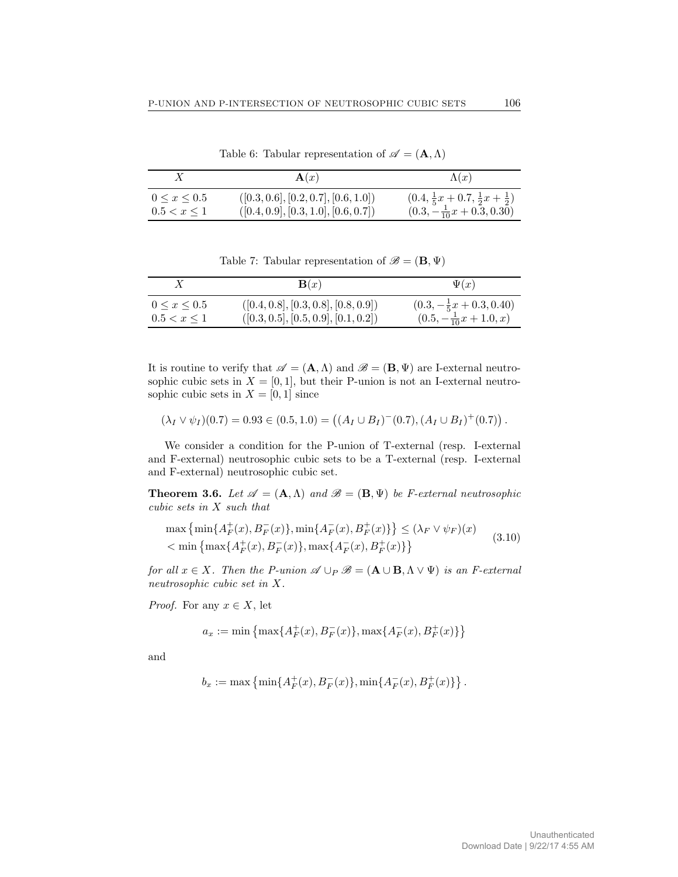|                     | $\mathbf{A}(x)$                      | $\Lambda(x)$                                            |
|---------------------|--------------------------------------|---------------------------------------------------------|
| $0 \leq x \leq 0.5$ | ([0.3, 0.6], [0.2, 0.7], [0.6, 1.0]) | $(0.4, \frac{1}{5}x + 0.7, \frac{1}{2}x + \frac{1}{2})$ |
| $0.5 < x \leq 1$    | ([0.4, 0.9], [0.3, 1.0], [0.6, 0.7]) | $(0.3, -\frac{1}{10}x + 0.3, 0.30)$                     |

Table 6: Tabular representation of  $\mathscr{A} = (\mathbf{A}, \Lambda)$ 

Table 7: Tabular representation of  $\mathscr{B} = (\mathbf{B}, \Psi)$ 

|                     | $\mathbf{B}(x)$                      | $\Psi(x)$                          |
|---------------------|--------------------------------------|------------------------------------|
| $0 \leq x \leq 0.5$ | ([0.4, 0.8], [0.3, 0.8], [0.8, 0.9]) | $(0.3, -\frac{1}{5}x + 0.3, 0.40)$ |
| 0.5 < x < 1         | ([0.3, 0.5], [0.5, 0.9], [0.1, 0.2]) | $(0.5, -\frac{1}{10}x + 1.0, x)$   |

It is routine to verify that  $\mathscr{A} = (\mathbf{A}, \Lambda)$  and  $\mathscr{B} = (\mathbf{B}, \Psi)$  are I-external neutrosophic cubic sets in  $X = [0, 1]$ , but their P-union is not an I-external neutrosophic cubic sets in  $X = [0, 1]$  since

$$
(\lambda_I \vee \psi_I)(0.7) = 0.93 \in (0.5, 1.0) = ((A_I \cup B_I)^{-}(0.7), (A_I \cup B_I)^{+}(0.7)).
$$

We consider a condition for the P-union of T-external (resp. I-external and F-external) neutrosophic cubic sets to be a T-external (resp. I-external and F-external) neutrosophic cubic set.

**Theorem 3.6.** Let  $\mathcal{A} = (\mathbf{A}, \Lambda)$  and  $\mathcal{B} = (\mathbf{B}, \Psi)$  be *F*-external neutrosophic cubic sets in X such that

$$
\max\left\{\min\{A_F^+(x), B_F^-(x)\}, \min\{A_F^-(x), B_F^+(x)\}\right\} \le (\lambda_F \vee \psi_F)(x)
$$
  

$$
< \min\left\{\max\{A_F^+(x), B_F^-(x)\}, \max\{A_F^-(x), B_F^+(x)\}\right\}
$$
(3.10)

for all  $x \in X$ . Then the P-union  $\mathscr{A} \cup_P \mathscr{B} = (\mathbf{A} \cup \mathbf{B}, \Lambda \vee \Psi)$  is an F-external neutrosophic cubic set in X.

*Proof.* For any  $x \in X$ , let

 $\mathbf{+}$ 

$$
a_x:=\min\left\{\max\{A_F^+(x),B_F^-(x)\},\max\{A_F^-(x),B_F^+(x)\}\right\}
$$

and

$$
b_x := \max \left\{ \min \{ A_F^+(x), B_F^-(x) \}, \min \{ A_F^-(x), B_F^+(x) \} \right\}.
$$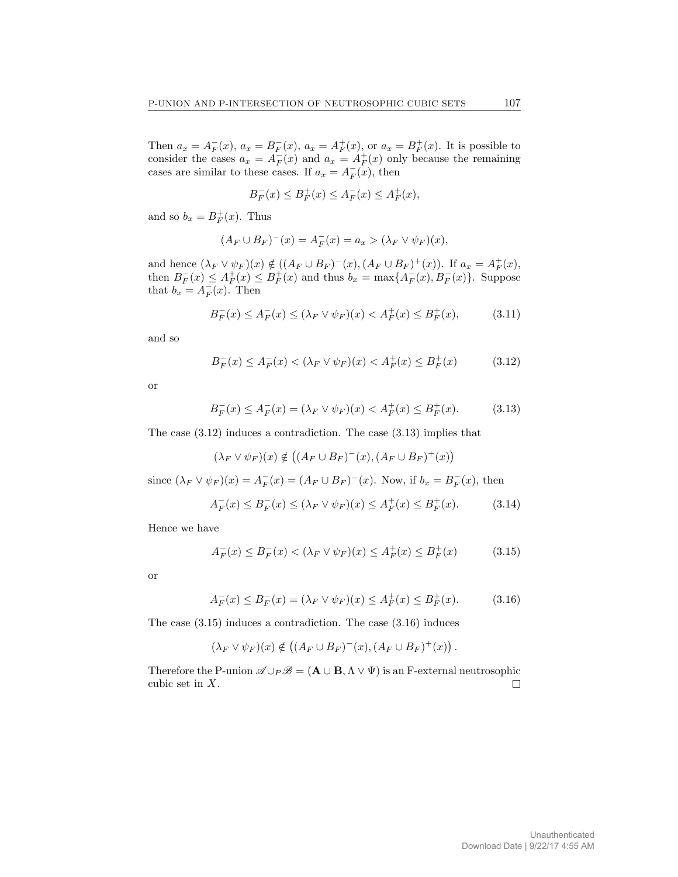Then  $a_x = A_F^-(x)$ ,  $a_x = B_F^-(x)$ ,  $a_x = A_F^+(x)$ , or  $a_x = B_F^+(x)$ . It is possible to consider the cases  $a_x = A_F^-(x)$  and  $a_x = A_F^+(x)$  only because the remaining cases are similar to these cases. If  $a_x = A_F^-(x)$ , then

$$
B^-_F(x) \le B^+_F(x) \le A^-_F(x) \le A^+_F(x),
$$

and so  $b_x = B_F^+(x)$ . Thus

$$
(A_F \cup B_F)^{-}(x) = A_F^{-}(x) = a_x > (\lambda_F \vee \psi_F)(x),
$$

and hence  $(\lambda_F \vee \psi_F)(x) \notin ((A_F \cup B_F)^{-}(x), (A_F \cup B_F)^{+}(x))$ . If  $a_x = A_F^{+}(x)$ , then  $B_F^-(x) \leq A_F^+(x) \leq B_F^+(x)$  and thus  $b_x = \max\{A_F^-(x), B_F^-(x)\}\$ . Suppose that  $b_x = A_F^-(x)$ . Then

$$
B_F^-(x) \le A_F^-(x) \le (\lambda_F \vee \psi_F)(x) < A_F^+(x) \le B_F^+(x),\tag{3.11}
$$

and so

$$
B_F^-(x) \le A_F^-(x) < (\lambda_F \vee \psi_F)(x) < A_F^+(x) \le B_F^+(x) \tag{3.12}
$$

or

$$
B_F^-(x) \le A_F^-(x) = (\lambda_F \vee \psi_F)(x) < A_F^+(x) \le B_F^+(x). \tag{3.13}
$$

The case (3.12) induces a contradiction. The case (3.13) implies that

$$
(\lambda_F \vee \psi_F)(x) \notin ((A_F \cup B_F)^{-(x)}, (A_F \cup B_F)^{+(x)})
$$

since  $(\lambda_F \vee \psi_F)(x) = A_F^-(x) = (A_F \cup B_F)^-(x)$ . Now, if  $b_x = B_F^-(x)$ , then

$$
A_F^-(x) \le B_F^-(x) \le (\lambda_F \vee \psi_F)(x) \le A_F^+(x) \le B_F^+(x). \tag{3.14}
$$

Hence we have

$$
A_F^-(x) \le B_F^-(x) < (\lambda_F \vee \psi_F)(x) \le A_F^+(x) \le B_F^+(x) \tag{3.15}
$$

or

$$
A_F^-(x) \le B_F^-(x) = (\lambda_F \vee \psi_F)(x) \le A_F^+(x) \le B_F^+(x). \tag{3.16}
$$

The case (3.15) induces a contradiction. The case (3.16) induces

$$
(\lambda_F \vee \psi_F)(x) \notin ((A_F \cup B_F)^{-(x)}, (A_F \cup B_F)^{+(x)}).
$$

Therefore the P-union  $\mathscr{A} \cup_P \mathscr{B} = (\mathbf{A} \cup \mathbf{B}, \Lambda \vee \Psi)$  is an F-external neutrosophic cubic set in X.  $\Box$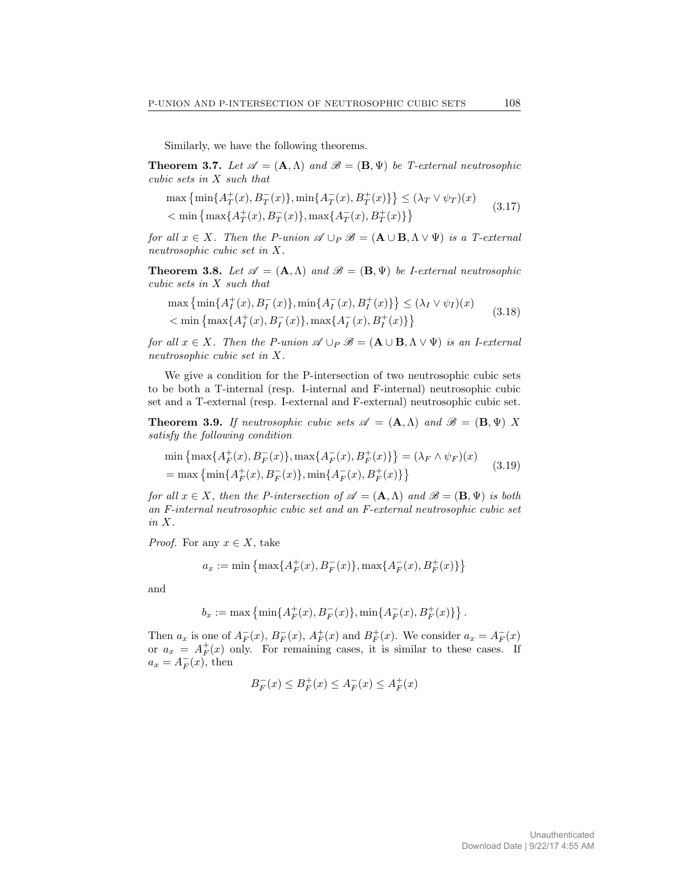Similarly, we have the following theorems.

**Theorem 3.7.** Let  $\mathscr{A} = (\mathbf{A}, \Lambda)$  and  $\mathscr{B} = (\mathbf{B}, \Psi)$  be T-external neutrosophic cubic sets in X such that

$$
\max\left\{\min\{A_T^+(x), B_T^-(x)\}, \min\{A_T^-(x), B_T^+(x)\}\right\} \le (\lambda_T \vee \psi_T)(x)
$$
  

$$
< \min\left\{\max\{A_T^+(x), B_T^-(x)\}, \max\{A_T^-(x), B_T^+(x)\}\right\} \tag{3.17}
$$

for all  $x \in X$ . Then the P-union  $\mathscr{A} \cup_P \mathscr{B} = (\mathbf{A} \cup \mathbf{B}, \Lambda \vee \Psi)$  is a T-external neutrosophic cubic set in X.

**Theorem 3.8.** Let  $\mathscr{A} = (\mathbf{A}, \Lambda)$  and  $\mathscr{B} = (\mathbf{B}, \Psi)$  be *I-external neutrosophic* cubic sets in X such that

$$
\max \left\{ \min \{ A_I^+(x), B_I^-(x) \}, \min \{ A_I^-(x), B_I^+(x) \} \right\} \le (\lambda_I \vee \psi_I)(x)
$$
  

$$
< \min \left\{ \max \{ A_I^+(x), B_I^-(x) \}, \max \{ A_I^-(x), B_I^+(x) \} \right\}
$$
(3.18)

for all  $x \in X$ . Then the P-union  $\mathscr{A} \cup_P \mathscr{B} = (\mathbf{A} \cup \mathbf{B}, \Lambda \vee \Psi)$  is an I-external neutrosophic cubic set in X.

We give a condition for the P-intersection of two neutrosophic cubic sets to be both a T-internal (resp. I-internal and F-internal) neutrosophic cubic set and a T-external (resp. I-external and F-external) neutrosophic cubic set.

**Theorem 3.9.** If neutrosophic cubic sets  $\mathscr{A} = (\mathbf{A}, \Lambda)$  and  $\mathscr{B} = (\mathbf{B}, \Psi)$  X satisfy the following condition

$$
\min\left\{\max\{A_F^+(x), B_F^-(x)\}, \max\{A_F^-(x), B_F^+(x)\}\right\} = (\lambda_F \wedge \psi_F)(x)
$$
\n
$$
= \max\left\{\min\{A_F^+(x), B_F^-(x)\}, \min\{A_F^-(x), B_F^+(x)\}\right\} \tag{3.19}
$$

for all  $x \in X$ , then the P-intersection of  $\mathscr{A} = (\mathbf{A}, \Lambda)$  and  $\mathscr{B} = (\mathbf{B}, \Psi)$  is both an F-internal neutrosophic cubic set and an F-external neutrosophic cubic set in X.

*Proof.* For any  $x \in X$ , take

$$
a_x:=\min\left\{\max\{A_F^+(x),B_F^-(x)\},\max\{A_F^-(x),B_F^+(x)\}\right\}
$$

and

$$
b_x := \max\left\{\min\{A_F^+(x), B_F^-(x)\}, \min\{A_F^-(x), B_F^+(x)\}\right\}.
$$

Then  $a_x$  is one of  $A_F^-(x)$ ,  $B_F^-(x)$ ,  $A_F^+(x)$  and  $B_F^+(x)$ . We consider  $a_x = A_F^-(x)$ or  $a_x = A_F^+(x)$  only. For remaining cases, it is similar to these cases. If  $a_x = A_F^-(x)$ , then

$$
B_F^-(x) \le B_F^+(x) \le A_F^-(x) \le A_F^+(x)
$$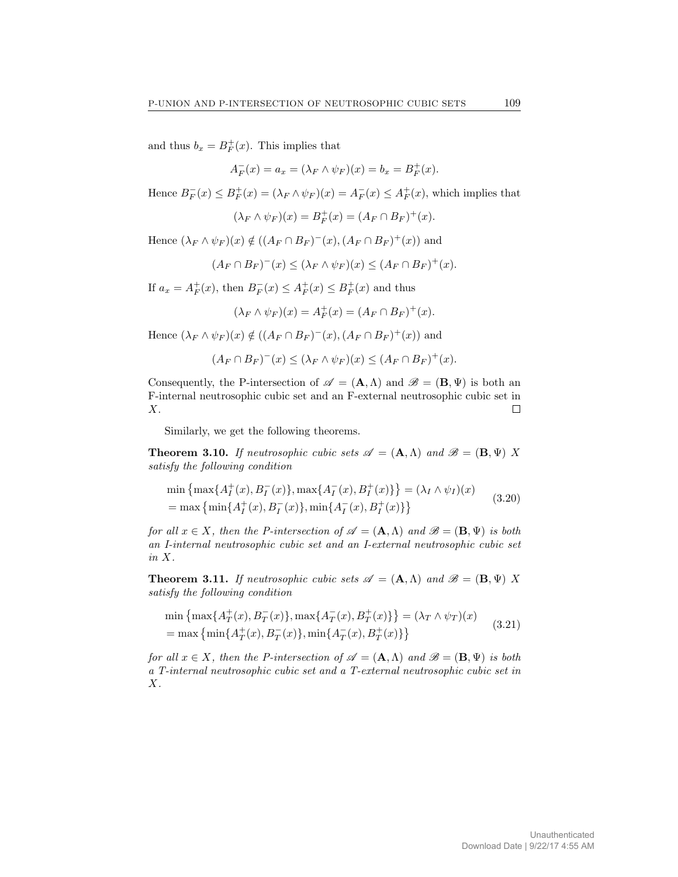and thus  $b_x = B_F^+(x)$ . This implies that

$$
A_F^-(x) = a_x = (\lambda_F \wedge \psi_F)(x) = b_x = B_F^+(x).
$$

Hence  $B_F^-(x) \le B_F^+(x) = (\lambda_F \wedge \psi_F)(x) = A_F^-(x) \le A_F^+(x)$ , which implies that

$$
(\lambda_F \wedge \psi_F)(x) = B_F^+(x) = (A_F \cap B_F)^+(x).
$$

Hence  $(\lambda_F \wedge \psi_F)(x) \notin ((A_F \cap B_F)^{-(x)}, (A_F \cap B_F)^{+(x)})$  and

$$
(A_F \cap B_F)^{-}(x) \leq (\lambda_F \wedge \psi_F)(x) \leq (A_F \cap B_F)^{+}(x).
$$

If  $a_x = A_F^+(x)$ , then  $B_F^-(x) \le A_F^+(x) \le B_F^+(x)$  and thus

$$
(\lambda_F \wedge \psi_F)(x) = A_F^+(x) = (A_F \cap B_F)^+(x).
$$

Hence  $(\lambda_F \wedge \psi_F)(x) \notin ((A_F \cap B_F)^{-(x)}, (A_F \cap B_F)^{+(x)})$  and

$$
(A_F \cap B_F)^{-}(x) \leq (\lambda_F \wedge \psi_F)(x) \leq (A_F \cap B_F)^{+}(x).
$$

Consequently, the P-intersection of  $\mathscr{A} = (\mathbf{A}, \Lambda)$  and  $\mathscr{B} = (\mathbf{B}, \Psi)$  is both an F-internal neutrosophic cubic set and an F-external neutrosophic cubic set in X.  $\Box$ 

Similarly, we get the following theorems.

**Theorem 3.10.** If neutrosophic cubic sets  $\mathscr{A} = (\mathbf{A}, \Lambda)$  and  $\mathscr{B} = (\mathbf{B}, \Psi)$  X satisfy the following condition

$$
\min\left\{\max\{A_I^+(x), B_I^-(x)\}, \max\{A_I^-(x), B_I^+(x)\}\right\} = (\lambda_I \wedge \psi_I)(x)
$$
  
= max\left\{\min\{A\_I^+(x), B\_I^-(x)\}, \min\{A\_I^-(x), B\_I^+(x)\}\right\} (3.20)

for all  $x \in X$ , then the P-intersection of  $\mathscr{A} = (\mathbf{A}, \Lambda)$  and  $\mathscr{B} = (\mathbf{B}, \Psi)$  is both an I-internal neutrosophic cubic set and an I-external neutrosophic cubic set in X.

**Theorem 3.11.** If neutrosophic cubic sets  $\mathscr{A} = (\mathbf{A}, \Lambda)$  and  $\mathscr{B} = (\mathbf{B}, \Psi)$  X satisfy the following condition

$$
\min\left\{\max\{A_T^+(x), B_T^-(x)\}, \max\{A_T^-(x), B_T^+(x)\}\right\} = (\lambda_T \wedge \psi_T)(x)
$$
\n
$$
= \max\left\{\min\{A_T^+(x), B_T^-(x)\}, \min\{A_T^-(x), B_T^+(x)\}\right\} \tag{3.21}
$$

for all  $x \in X$ , then the P-intersection of  $\mathscr{A} = (\mathbf{A}, \Lambda)$  and  $\mathscr{B} = (\mathbf{B}, \Psi)$  is both a T-internal neutrosophic cubic set and a T-external neutrosophic cubic set in  $X$ .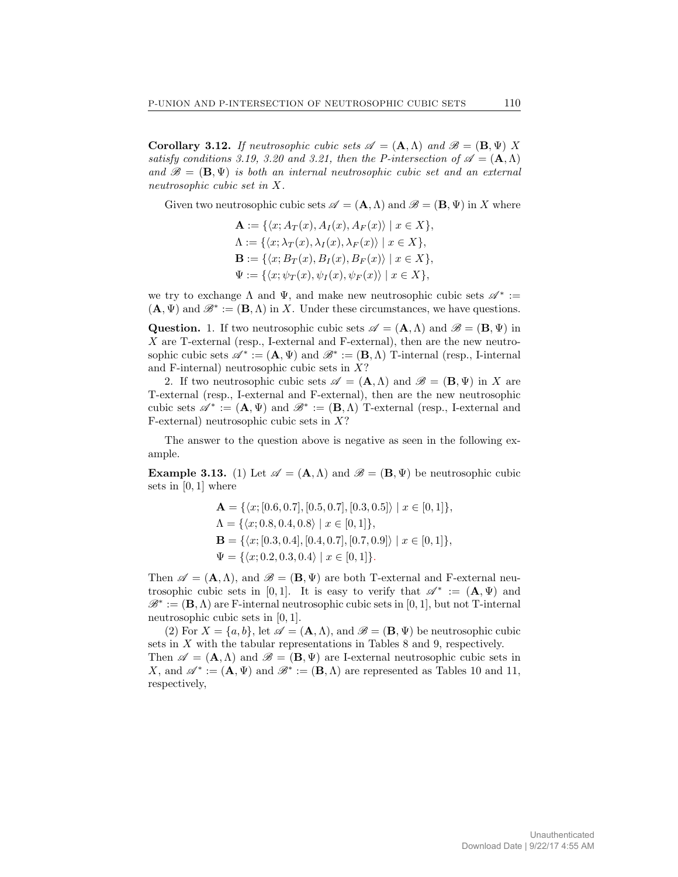**Corollary 3.12.** If neutrosophic cubic sets  $\mathcal{A} = (\mathbf{A}, \Lambda)$  and  $\mathcal{B} = (\mathbf{B}, \Psi)$  X satisfy conditions 3.19, 3.20 and 3.21, then the P-intersection of  $\mathscr{A} = (\mathbf{A}, \Lambda)$ and  $\mathscr{B} = (\mathbf{B}, \Psi)$  is both an internal neutrosophic cubic set and an external neutrosophic cubic set in X.

Given two neutrosophic cubic sets  $\mathscr{A} = (\mathbf{A}, \Lambda)$  and  $\mathscr{B} = (\mathbf{B}, \Psi)$  in X where

$$
\mathbf{A} := \{ \langle x; A_T(x), A_I(x), A_F(x) \rangle \mid x \in X \},
$$
  
\n
$$
\Lambda := \{ \langle x; \lambda_T(x), \lambda_I(x), \lambda_F(x) \rangle \mid x \in X \},
$$
  
\n
$$
\mathbf{B} := \{ \langle x; B_T(x), B_I(x), B_F(x) \rangle \mid x \in X \},
$$
  
\n
$$
\Psi := \{ \langle x; \psi_T(x), \psi_I(x), \psi_F(x) \rangle \mid x \in X \},
$$

we try to exchange  $\Lambda$  and  $\Psi$ , and make new neutrosophic cubic sets  $\mathscr{A}^* :=$  $(\mathbf{A}, \Psi)$  and  $\mathscr{B}^* := (\mathbf{B}, \Lambda)$  in X. Under these circumstances, we have questions.

**Question.** 1. If two neutrosophic cubic sets  $\mathscr{A} = (\mathbf{A}, \Lambda)$  and  $\mathscr{B} = (\mathbf{B}, \Psi)$  in X are T-external (resp., I-external and F-external), then are the new neutrosophic cubic sets  $\mathscr{A}^* := (\mathbf{A}, \Psi)$  and  $\mathscr{B}^* := (\mathbf{B}, \Lambda)$  T-internal (resp., I-internal and F-internal) neutrosophic cubic sets in  $X$ ?

2. If two neutrosophic cubic sets  $\mathscr{A} = (\mathbf{A}, \Lambda)$  and  $\mathscr{B} = (\mathbf{B}, \Psi)$  in X are T-external (resp., I-external and F-external), then are the new neutrosophic cubic sets  $\mathscr{A}^* := (\mathbf{A}, \Psi)$  and  $\mathscr{B}^* := (\mathbf{B}, \Lambda)$  T-external (resp., I-external and F-external) neutrosophic cubic sets in  $X$ ?

The answer to the question above is negative as seen in the following example.

**Example 3.13.** (1) Let  $\mathscr{A} = (\mathbf{A}, \Lambda)$  and  $\mathscr{B} = (\mathbf{B}, \Psi)$  be neutrosophic cubic sets in  $[0, 1]$  where

$$
\mathbf{A} = \{ \langle x; [0.6, 0.7], [0.5, 0.7], [0.3, 0.5] \rangle \mid x \in [0, 1] \},\
$$
  
\n
$$
\Lambda = \{ \langle x; 0.8, 0.4, 0.8 \rangle \mid x \in [0, 1] \},\
$$
  
\n
$$
\mathbf{B} = \{ \langle x; [0.3, 0.4], [0.4, 0.7], [0.7, 0.9] \rangle \mid x \in [0, 1] \},\
$$
  
\n
$$
\Psi = \{ \langle x; 0.2, 0.3, 0.4 \rangle \mid x \in [0, 1] \}.
$$

Then  $\mathscr{A} = (\mathbf{A}, \Lambda)$ , and  $\mathscr{B} = (\mathbf{B}, \Psi)$  are both T-external and F-external neutrosophic cubic sets in [0,1]. It is easy to verify that  $\mathscr{A}^* := (\mathbf{A}, \Psi)$  and  $\mathscr{B}^* := (\mathbf{B}, \Lambda)$  are F-internal neutrosophic cubic sets in [0, 1], but not T-internal neutrosophic cubic sets in [0, 1].

(2) For  $X = \{a, b\}$ , let  $\mathscr{A} = (\mathbf{A}, \Lambda)$ , and  $\mathscr{B} = (\mathbf{B}, \Psi)$  be neutrosophic cubic sets in X with the tabular representations in Tables 8 and 9, respectively. Then  $\mathscr{A} = (\mathbf{A}, \Lambda)$  and  $\mathscr{B} = (\mathbf{B}, \Psi)$  are I-external neutrosophic cubic sets in

X, and  $\mathscr{A}^* := (\mathbf{A}, \Psi)$  and  $\mathscr{B}^* := (\mathbf{B}, \Lambda)$  are represented as Tables 10 and 11, respectively,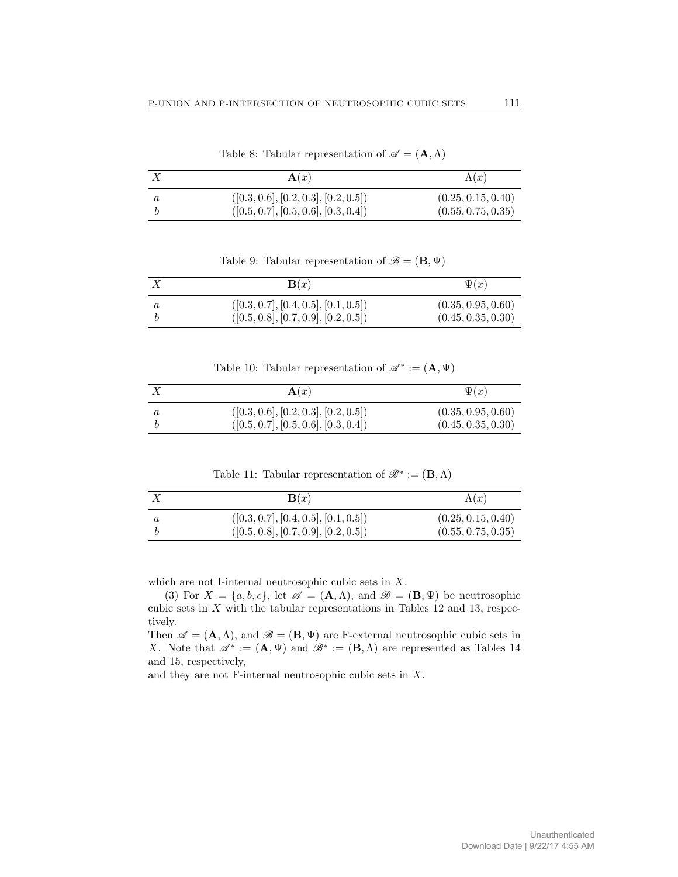| $\mathbf{A}(x)$                                                              | $\Lambda(x)$                             |
|------------------------------------------------------------------------------|------------------------------------------|
| ([0.3, 0.6], [0.2, 0.3], [0.2, 0.5])<br>([0.5, 0.7], [0.5, 0.6], [0.3, 0.4]) | (0.25, 0.15, 0.40)<br>(0.55, 0.75, 0.35) |

Table 8: Tabular representation of  $\mathscr{A} = (\mathbf{A}, \Lambda)$ 

Table 9: Tabular representation of  $\mathscr{B} = (\mathbf{B}, \Psi)$ 

|         | $\mathbf{B}(x)$                                                              | $\Psi(x)$                                |
|---------|------------------------------------------------------------------------------|------------------------------------------|
| $\it a$ | ([0.3, 0.7], [0.4, 0.5], [0.1, 0.5])<br>([0.5, 0.8], [0.7, 0.9], [0.2, 0.5]) | (0.35, 0.95, 0.60)<br>(0.45, 0.35, 0.30) |

Table 10: Tabular representation of  $\mathscr{A}^* := (\mathbf{A}, \Psi)$ 

| $\mathbf{A}(x)$                      | $\Psi(x)$          |
|--------------------------------------|--------------------|
| ([0.3, 0.6], [0.2, 0.3], [0.2, 0.5]) | (0.35, 0.95, 0.60) |
| ([0.5, 0.7], [0.5, 0.6], [0.3, 0.4]) | (0.45, 0.35, 0.30) |

Table 11: Tabular representation of  $\mathscr{B}^* := (\mathbf{B}, \Lambda)$ 

|         | $\mathbf{B}(x)$                                                              | $\Lambda(x)$                             |
|---------|------------------------------------------------------------------------------|------------------------------------------|
| $\it a$ | ([0.3, 0.7], [0.4, 0.5], [0.1, 0.5])<br>([0.5, 0.8], [0.7, 0.9], [0.2, 0.5]) | (0.25, 0.15, 0.40)<br>(0.55, 0.75, 0.35) |

which are not I-internal neutrosophic cubic sets in X.

(3) For  $X = \{a, b, c\}$ , let  $\mathscr{A} = (\mathbf{A}, \Lambda)$ , and  $\mathscr{B} = (\mathbf{B}, \Psi)$  be neutrosophic cubic sets in  $X$  with the tabular representations in Tables 12 and 13, respectively.

Then  $\mathscr{A} = (\mathbf{A}, \Lambda)$ , and  $\mathscr{B} = (\mathbf{B}, \Psi)$  are F-external neutrosophic cubic sets in X. Note that  $\mathscr{A}^* := (\mathbf{A}, \Psi)$  and  $\mathscr{B}^* := (\mathbf{B}, \Lambda)$  are represented as Tables 14 and 15, respectively,

and they are not F-internal neutrosophic cubic sets in X.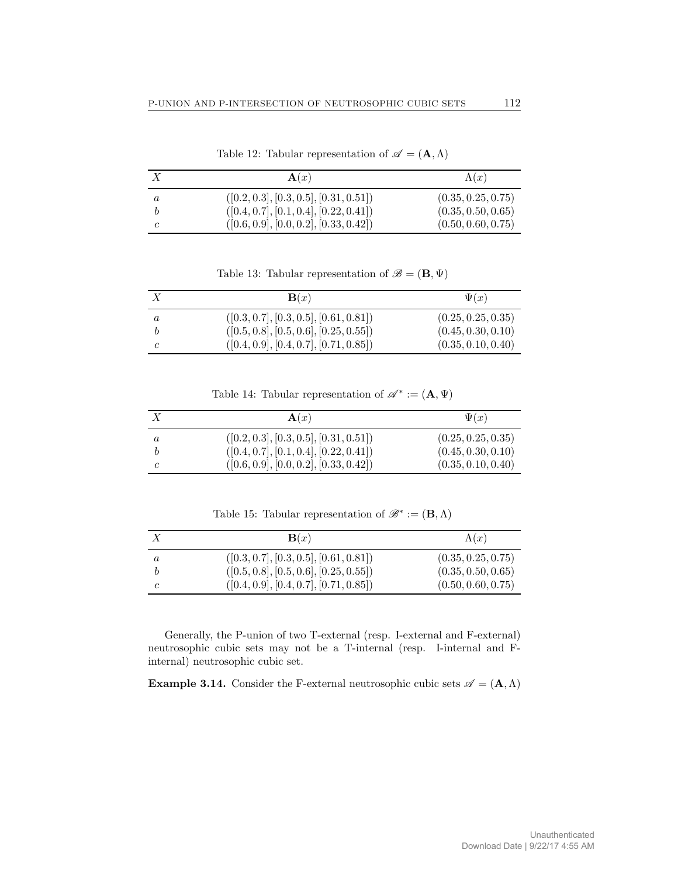|   | $\mathbf{A}(x)$                          | $\Lambda(x)$       |
|---|------------------------------------------|--------------------|
| a | $([0.2, 0.3], [0.3, 0.5], [0.31, 0.51])$ | (0.35, 0.25, 0.75) |
|   | $([0.4, 0.7], [0.1, 0.4], [0.22, 0.41])$ | (0.35, 0.50, 0.65) |
|   | $([0.6, 0.9], [0.0, 0.2], [0.33, 0.42])$ | (0.50, 0.60, 0.75) |

Table 12: Tabular representation of  $\mathscr{A} = (\mathbf{A}, \Lambda)$ 

Table 13: Tabular representation of  $\mathscr{B} = (\mathbf{B}, \Psi)$ 

| $\mathbf{B}(x)$                          | $\Psi(x)$          |
|------------------------------------------|--------------------|
| $([0.3, 0.7], [0.3, 0.5], [0.61, 0.81])$ | (0.25, 0.25, 0.35) |
| $([0.5, 0.8], [0.5, 0.6], [0.25, 0.55])$ | (0.45, 0.30, 0.10) |
| $([0.4, 0.9], [0.4, 0.7], [0.71, 0.85])$ | (0.35, 0.10, 0.40) |

Table 14: Tabular representation of  $\mathscr{A}^* := (\mathbf{A}, \Psi)$ 

| $\mathbf{A}(x)$                          | $\Psi(x)$          |
|------------------------------------------|--------------------|
| $([0.2, 0.3], [0.3, 0.5], [0.31, 0.51])$ | (0.25, 0.25, 0.35) |
| $([0.4, 0.7], [0.1, 0.4], [0.22, 0.41])$ | (0.45, 0.30, 0.10) |
| $([0.6, 0.9], [0.0, 0.2], [0.33, 0.42])$ | (0.35, 0.10, 0.40) |

Table 15: Tabular representation of  $\mathscr{B}^* := (\mathbf{B}, \Lambda)$ 

| $\mathbf{B}(x)$                          | $\Lambda(x)$       |
|------------------------------------------|--------------------|
| $([0.3, 0.7], [0.3, 0.5], [0.61, 0.81])$ | (0.35, 0.25, 0.75) |
| $([0.5, 0.8], [0.5, 0.6], [0.25, 0.55])$ | (0.35, 0.50, 0.65) |
| $([0.4, 0.9], [0.4, 0.7], [0.71, 0.85])$ | (0.50, 0.60, 0.75) |

Generally, the P-union of two T-external (resp. I-external and F-external) neutrosophic cubic sets may not be a T-internal (resp. I-internal and Finternal) neutrosophic cubic set.

**Example 3.14.** Consider the F-external neutrosophic cubic sets  $\mathcal{A} = (\mathbf{A}, \Lambda)$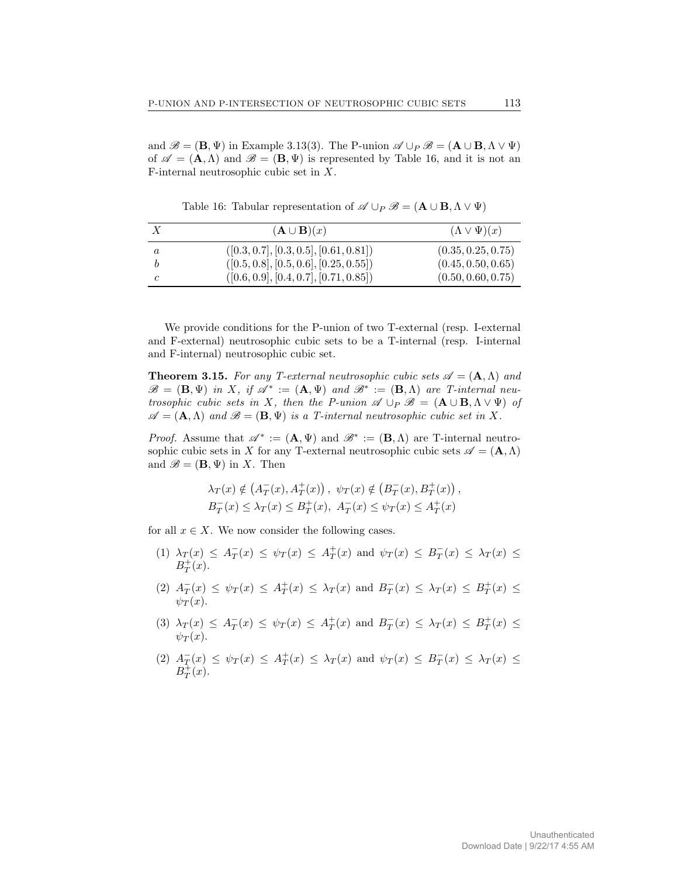and  $\mathscr{B} = (\mathbf{B}, \Psi)$  in Example 3.13(3). The P-union  $\mathscr{A} \cup_P \mathscr{B} = (\mathbf{A} \cup \mathbf{B}, \Lambda \vee \Psi)$ of  $\mathscr{A} = (\mathbf{A}, \Lambda)$  and  $\mathscr{B} = (\mathbf{B}, \Psi)$  is represented by Table 16, and it is not an F-internal neutrosophic cubic set in X.

X  $(\mathbf{A} \cup \mathbf{B})(x)$   $(\Lambda \vee \Psi)(x)$  $a \qquad ( [0.3, 0.7], [0.3, 0.5], [0.61, 0.81]) \qquad (0.35, 0.25, 0.75)$  $b$  ([0.5, 0.8], [0.5, 0.6], [0.25, 0.55]) (0.45, 0.50, 0.65) c  $( [0.6, 0.9], [0.4, 0.7], [0.71, 0.85])$   $(0.50, 0.60, 0.75)$ 

Table 16: Tabular representation of  $\mathscr{A} \cup_P \mathscr{B} = (\mathbf{A} \cup \mathbf{B}, \Lambda \vee \Psi)$ 

We provide conditions for the P-union of two T-external (resp. I-external and F-external) neutrosophic cubic sets to be a T-internal (resp. I-internal and F-internal) neutrosophic cubic set.

**Theorem 3.15.** For any T-external neutrosophic cubic sets  $\mathcal{A} = (\mathbf{A}, \Lambda)$  and  $\mathscr{B} = (\mathbf{B}, \Psi)$  in X, if  $\mathscr{A}^* := (\mathbf{A}, \Psi)$  and  $\mathscr{B}^* := (\mathbf{B}, \Lambda)$  are T-internal neutrosophic cubic sets in X, then the P-union  $\mathscr{A} \cup_P \mathscr{B} = (\mathbf{A} \cup \mathbf{B}, \Lambda \vee \Psi)$  of  $\mathscr{A} = (\mathbf{A}, \Lambda)$  and  $\mathscr{B} = (\mathbf{B}, \Psi)$  is a T-internal neutrosophic cubic set in X.

*Proof.* Assume that  $\mathscr{A}^* := (\mathbf{A}, \Psi)$  and  $\mathscr{B}^* := (\mathbf{B}, \Lambda)$  are T-internal neutrosophic cubic sets in X for any T-external neutrosophic cubic sets  $\mathscr{A} = (\mathbf{A}, \Lambda)$ and  $\mathscr{B} = (\mathbf{B}, \Psi)$  in X. Then

$$
\lambda_T(x) \notin (A_T^-(x), A_T^+(x)), \ \psi_T(x) \notin (B_T^-(x), B_T^+(x)),
$$
  
\n $B_T^-(x) \leq \lambda_T(x) \leq B_T^+(x), \ A_T^-(x) \leq \psi_T(x) \leq A_T^+(x)$ 

for all  $x \in X$ . We now consider the following cases.

- (1)  $\lambda_T(x) \leq A_T^-(x) \leq \psi_T(x) \leq A_T^+(x)$  and  $\psi_T(x) \leq B_T^-(x) \leq \lambda_T(x) \leq$  $B_T^+(x)$ .
- (2)  $A_T^-(x) \leq \psi_T(x) \leq A_T^+(x) \leq \lambda_T(x)$  and  $B_T^-(x) \leq \lambda_T(x) \leq B_T^+(x) \leq$  $\psi_T(x)$ .
- (3)  $\lambda_T(x) \leq A_T^-(x) \leq \psi_T(x) \leq A_T^+(x)$  and  $B_T^-(x) \leq \lambda_T(x) \leq B_T^+(x) \leq$  $\psi_T(x)$ .
- (2)  $A_T^-(x) \leq \psi_T(x) \leq A_T^+(x) \leq \lambda_T(x)$  and  $\psi_T(x) \leq B_T^-(x) \leq \lambda_T(x) \leq$  $B_T^{\ddag}(x)$ .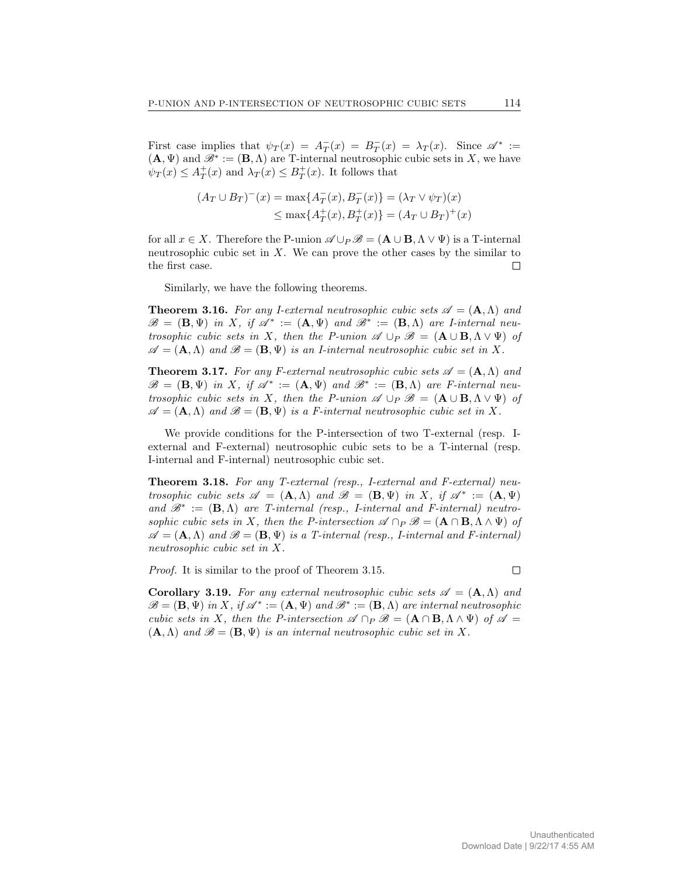First case implies that  $\psi_T(x) = A_T^-(x) = B_T^-(x) = \lambda_T(x)$ . Since  $\mathscr{A}^* :=$  $(\mathbf{A}, \Psi)$  and  $\mathscr{B}^* := (\mathbf{B}, \Lambda)$  are T-internal neutrosophic cubic sets in X, we have  $\psi_T(x) \leq A_T^+(x)$  and  $\lambda_T(x) \leq B_T^+(x)$ . It follows that

$$
(A_T \cup B_T)^{-}(x) = \max\{A_T^{-}(x), B_T^{-}(x)\} = (\lambda_T \vee \psi_T)(x)
$$
  
\$\leq\$ max{ $A_T^{+}(x), B_T^{+}(x)$ } =  $(A_T \cup B_T)^{+}(x)$ 

for all  $x \in X$ . Therefore the P-union  $\mathscr{A} \cup_{P} \mathscr{B} = (\mathbf{A} \cup \mathbf{B}, \Lambda \vee \Psi)$  is a T-internal neutrosophic cubic set in  $X$ . We can prove the other cases by the similar to the first case.  $\Box$ 

Similarly, we have the following theorems.

**Theorem 3.16.** For any I-external neutrosophic cubic sets  $\mathscr{A} = (\mathbf{A}, \Lambda)$  and  $\mathscr{B} = (\mathbf{B}, \Psi)$  in X, if  $\mathscr{A}^* := (\mathbf{A}, \Psi)$  and  $\mathscr{B}^* := (\mathbf{B}, \Lambda)$  are *I*-internal neutrosophic cubic sets in X, then the P-union  $\mathscr{A} \cup_P \mathscr{B} = (\mathbf{A} \cup \mathbf{B}, \Lambda \vee \Psi)$  of  $\mathscr{A} = (\mathbf{A}, \Lambda)$  and  $\mathscr{B} = (\mathbf{B}, \Psi)$  is an *I*-internal neutrosophic cubic set in X.

**Theorem 3.17.** For any F-external neutrosophic cubic sets  $\mathcal{A} = (\mathbf{A}, \Lambda)$  and  $\mathscr{B} = (\mathbf{B}, \Psi)$  in X, if  $\mathscr{A}^* := (\mathbf{A}, \Psi)$  and  $\mathscr{B}^* := (\mathbf{B}, \Lambda)$  are F-internal neutrosophic cubic sets in X, then the P-union  $\mathscr{A} \cup_P \mathscr{B} = (\mathbf{A} \cup \mathbf{B}, \Lambda \vee \Psi)$  of  $\mathscr{A} = (\mathbf{A}, \Lambda)$  and  $\mathscr{B} = (\mathbf{B}, \Psi)$  is a F-internal neutrosophic cubic set in X.

We provide conditions for the P-intersection of two T-external (resp. Iexternal and F-external) neutrosophic cubic sets to be a T-internal (resp. I-internal and F-internal) neutrosophic cubic set.

Theorem 3.18. For any T-external (resp., I-external and F-external) neutrosophic cubic sets  $\mathscr{A} = (\mathbf{A}, \Lambda)$  and  $\mathscr{B} = (\mathbf{B}, \Psi)$  in X, if  $\mathscr{A}^* := (\mathbf{A}, \Psi)$ and  $\mathscr{B}^* := (\mathbf{B}, \Lambda)$  are T-internal (resp., I-internal and F-internal) neutrosophic cubic sets in X, then the P-intersection  $\mathscr{A} \cap_P \mathscr{B} = (\mathbf{A} \cap \mathbf{B}, \Lambda \wedge \Psi)$  of  $\mathscr{A} = (\mathbf{A}, \Lambda)$  and  $\mathscr{B} = (\mathbf{B}, \Psi)$  is a T-internal (resp., I-internal and F-internal) neutrosophic cubic set in X.

Proof. It is similar to the proof of Theorem 3.15.

**Corollary 3.19.** For any external neutrosophic cubic sets  $\mathscr{A} = (\mathbf{A}, \Lambda)$  and  $\mathscr{B} = (\mathbf{B}, \Psi)$  in X, if  $\mathscr{A}^* := (\mathbf{A}, \Psi)$  and  $\mathscr{B}^* := (\mathbf{B}, \Lambda)$  are internal neutrosophic cubic sets in X, then the P-intersection  $\mathscr{A} \cap P \mathscr{B} = (\mathbf{A} \cap \mathbf{B}, \Lambda \wedge \Psi)$  of  $\mathscr{A} =$  $(A, \Lambda)$  and  $\mathscr{B} = (B, \Psi)$  is an internal neutrosophic cubic set in X.

 $\Box$